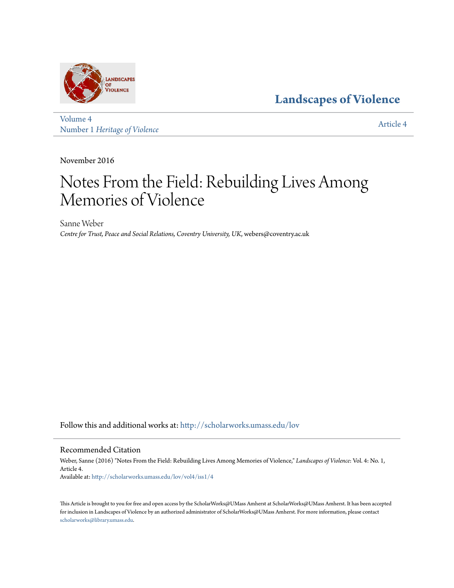

**[Landscapes of Violence](http://scholarworks.umass.edu/lov?utm_source=scholarworks.umass.edu%2Flov%2Fvol4%2Fiss1%2F4&utm_medium=PDF&utm_campaign=PDFCoverPages)**

[Volume 4](http://scholarworks.umass.edu/lov/vol4?utm_source=scholarworks.umass.edu%2Flov%2Fvol4%2Fiss1%2F4&utm_medium=PDF&utm_campaign=PDFCoverPages) Number 1 *[Heritage of Violence](http://scholarworks.umass.edu/lov/vol4/iss1?utm_source=scholarworks.umass.edu%2Flov%2Fvol4%2Fiss1%2F4&utm_medium=PDF&utm_campaign=PDFCoverPages)*

[Article 4](http://scholarworks.umass.edu/lov/vol4/iss1/4?utm_source=scholarworks.umass.edu%2Flov%2Fvol4%2Fiss1%2F4&utm_medium=PDF&utm_campaign=PDFCoverPages)

November 2016

# Notes From the Field: Rebuilding Lives Among Memories of Violence

Sanne Weber *Centre for Trust, Peace and Social Relations, Coventry University, UK*, webers@coventry.ac.uk

Follow this and additional works at: [http://scholarworks.umass.edu/lov](http://scholarworks.umass.edu/lov?utm_source=scholarworks.umass.edu%2Flov%2Fvol4%2Fiss1%2F4&utm_medium=PDF&utm_campaign=PDFCoverPages)

# Recommended Citation

Weber, Sanne (2016) "Notes From the Field: Rebuilding Lives Among Memories of Violence," *Landscapes of Violence*: Vol. 4: No. 1, Article 4. Available at: [http://scholarworks.umass.edu/lov/vol4/iss1/4](http://scholarworks.umass.edu/lov/vol4/iss1/4?utm_source=scholarworks.umass.edu%2Flov%2Fvol4%2Fiss1%2F4&utm_medium=PDF&utm_campaign=PDFCoverPages)

This Article is brought to you for free and open access by the ScholarWorks@UMass Amherst at ScholarWorks@UMass Amherst. It has been accepted for inclusion in Landscapes of Violence by an authorized administrator of ScholarWorks@UMass Amherst. For more information, please contact [scholarworks@library.umass.edu](mailto:scholarworks@library.umass.edu).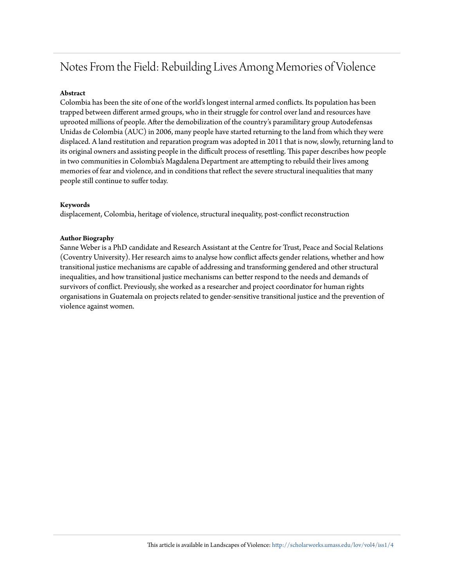# Notes From the Field: Rebuilding Lives Among Memories of Violence

# **Abstract**

Colombia has been the site of one of the world's longest internal armed conflicts. Its population has been trapped between different armed groups, who in their struggle for control over land and resources have uprooted millions of people. After the demobilization of the country's paramilitary group Autodefensas Unidas de Colombia (AUC) in 2006, many people have started returning to the land from which they were displaced. A land restitution and reparation program was adopted in 2011 that is now, slowly, returning land to its original owners and assisting people in the difficult process of resettling. This paper describes how people in two communities in Colombia's Magdalena Department are attempting to rebuild their lives among memories of fear and violence, and in conditions that reflect the severe structural inequalities that many people still continue to suffer today.

# **Keywords**

displacement, Colombia, heritage of violence, structural inequality, post-conflict reconstruction

# **Author Biography**

Sanne Weber is a PhD candidate and Research Assistant at the Centre for Trust, Peace and Social Relations (Coventry University). Her research aims to analyse how conflict affects gender relations, whether and how transitional justice mechanisms are capable of addressing and transforming gendered and other structural inequalities, and how transitional justice mechanisms can better respond to the needs and demands of survivors of conflict. Previously, she worked as a researcher and project coordinator for human rights organisations in Guatemala on projects related to gender-sensitive transitional justice and the prevention of violence against women.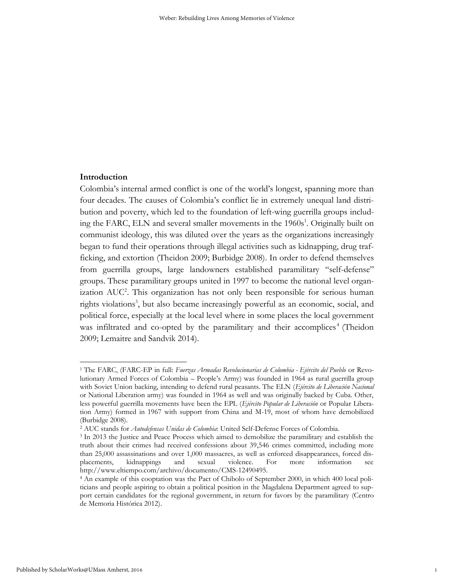# **Introduction**

Colombia's internal armed conflict is one of the world's longest, spanning more than four decades. The causes of Colombia's conflict lie in extremely unequal land distribution and poverty, which led to the foundation of left-wing guerrilla groups including the FARC, ELN and several smaller movements in the 1960s<sup>1</sup>. Originally built on communist ideology, this was diluted over the years as the organizations increasingly began to fund their operations through illegal activities such as kidnapping, drug trafficking, and extortion (Theidon 2009; Burbidge 2008). In order to defend themselves from guerrilla groups, large landowners established paramilitary "self-defense" groups. These paramilitary groups united in 1997 to become the national level organization AUC<sup>2</sup>. This organization has not only been responsible for serious human rights violations<sup>3</sup>, but also became increasingly powerful as an economic, social, and political force, especially at the local level where in some places the local government was infiltrated and co-opted by the paramilitary and their accomplices<sup>4</sup> (Theidon 2009; Lemaitre and Sandvik 2014).

 $\overline{a}$ 

<sup>1</sup> The FARC, (FARC-EP in full: *Fuerzas Armadas Revolucionarias de Colombia - Ejército del Pueblo* or Revolutionary Armed Forces of Colombia – People's Army) was founded in 1964 as rural guerrilla group with Soviet Union backing, intending to defend rural peasants. The ELN (*Ejército de Liberación Nacional* or National Liberation army) was founded in 1964 as well and was originally backed by Cuba. Other, less powerful guerrilla movements have been the EPL (*Ejército Popular de Liberación* or Popular Liberation Army) formed in 1967 with support from China and M-19, most of whom have demobilized (Burbidge 2008).

<sup>2</sup> AUC stands for *Autodefensas Unidas de Colombia*: United Self-Defense Forces of Colombia.

<sup>3</sup> In 2013 the Justice and Peace Process which aimed to demobilize the paramilitary and establish the truth about their crimes had received confessions about 39,546 crimes committed, including more than 25,000 assassinations and over 1,000 massacres, as well as enforced disappearances, forced displacements, kidnappings and sexual violence. For more information http://www.eltiempo.com/archivo/documento/CMS-12490495.

<sup>4</sup> An example of this cooptation was the Pact of Chibolo of September 2000, in which 400 local politicians and people aspiring to obtain a political position in the Magdalena Department agreed to support certain candidates for the regional government, in return for favors by the paramilitary (Centro de Memoria Histórica 2012).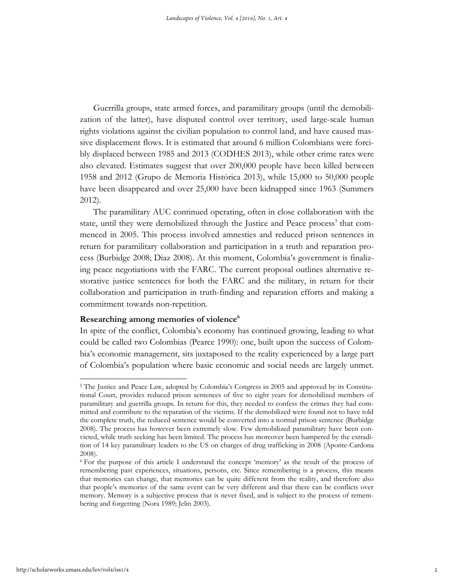Guerrilla groups, state armed forces, and paramilitary groups (until the demobilization of the latter), have disputed control over territory, used large-scale human rights violations against the civilian population to control land, and have caused massive displacement flows. It is estimated that around 6 million Colombians were forcibly displaced between 1985 and 2013 (CODHES 2013), while other crime rates were also elevated. Estimates suggest that over 200,000 people have been killed between 1958 and 2012 (Grupo de Memoria Histórica 2013), while 15,000 to 50,000 people have been disappeared and over 25,000 have been kidnapped since 1963 (Summers 2012).

The paramilitary AUC continued operating, often in close collaboration with the state, until they were demobilized through the Justice and Peace process<sup>5</sup> that commenced in 2005. This process involved amnesties and reduced prison sentences in return for paramilitary collaboration and participation in a truth and reparation process (Burbidge 2008; Diaz 2008). At this moment, Colombia's government is finalizing peace negotiations with the FARC. The current proposal outlines alternative restorative justice sentences for both the FARC and the military, in return for their collaboration and participation in truth-finding and reparation efforts and making a commitment towards non-repetition.

# **Researching among memories of violence<sup>6</sup>**

In spite of the conflict, Colombia's economy has continued growing, leading to what could be called two Colombias (Pearce 1990): one, built upon the success of Colombia's economic management, sits juxtaposed to the reality experienced by a large part of Colombia's population where basic economic and social needs are largely unmet.

 $\overline{a}$ 

<sup>5</sup> The Justice and Peace Law, adopted by Colombia's Congress in 2005 and approved by its Constitutional Court, provides reduced prison sentences of five to eight years for demobilized members of paramilitary and guerrilla groups. In return for this, they needed to confess the crimes they had committed and contribute to the reparation of the victims. If the demobilized were found not to have told the complete truth, the reduced sentence would be converted into a normal prison sentence (Burbidge 2008). The process has however been extremely slow. Few demobilized paramilitary have been convicted, while truth seeking has been limited. The process has moreover been hampered by the extradition of 14 key paramilitary leaders to the US on charges of drug trafficking in 2008 (Aponte-Cardona 2008).

<sup>6</sup> For the purpose of this article I understand the concept 'memory' as the result of the process of remembering past experiences, situations, persons, etc. Since remembering is a process, this means that memories can change, that memories can be quite different from the reality, and therefore also that people's memories of the same event can be very different and that there can be conflicts over memory. Memory is a subjective process that is never fixed, and is subject to the process of remembering and forgetting (Nora 1989; Jelin 2003).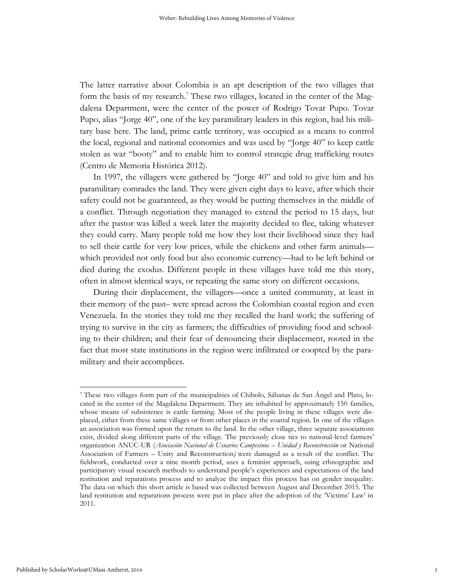The latter narrative about Colombia is an apt description of the two villages that form the basis of my research.<sup>7</sup> These two villages, located in the center of the Magdalena Department, were the center of the power of Rodrigo Tovar Pupo. Tovar Pupo, alias "Jorge 40", one of the key paramilitary leaders in this region, had his military base here. The land, prime cattle territory, was occupied as a means to control the local, regional and national economies and was used by "Jorge 40" to keep cattle stolen as war "booty" and to enable him to control strategic drug trafficking routes (Centro de Memoria Histórica 2012).

In 1997, the villagers were gathered by "Jorge 40" and told to give him and his paramilitary comrades the land. They were given eight days to leave, after which their safety could not be guaranteed, as they would be putting themselves in the middle of a conflict. Through negotiation they managed to extend the period to 15 days, but after the pastor was killed a week later the majority decided to flee, taking whatever they could carry. Many people told me how they lost their livelihood since they had to sell their cattle for very low prices, while the chickens and other farm animals which provided not only food but also economic currency—had to be left behind or died during the exodus. Different people in these villages have told me this story, often in almost identical ways, or repeating the same story on different occasions.

During their displacement, the villagers—once a united community, at least in their memory of the past– were spread across the Colombian coastal region and even Venezuela. In the stories they told me they recalled the hard work; the suffering of trying to survive in the city as farmers; the difficulties of providing food and schooling to their children; and their fear of denouncing their displacement, rooted in the fact that most state institutions in the region were infiltrated or coopted by the paramilitary and their accomplices.

 $\overline{a}$ 

<sup>7</sup> These two villages form part of the municipalities of Chibolo, Sábanas de San Ángel and Plato, located in the center of the Magdalena Department. They are inhabited by approximately 150 families, whose means of subsistence is cattle farming. Most of the people living in these villages were displaced, either from these same villages or from other places in the coastal region. In one of the villages an association was formed upon the return to the land. In the other village, three separate associations exist, divided along different parts of the village. The previously close ties to national-level farmers' organization ANUC-UR (*Asociación Nacional de Usuarios Campesinos* – *Unidad y Reconstrucción* or National Association of Farmers – Unity and Reconstruction*)* were damaged as a result of the conflict. The fieldwork, conducted over a nine month period, uses a feminist approach, using ethnographic and participatory visual research methods to understand people's experiences and expectations of the land restitution and reparations process and to analyze the impact this process has on gender inequality. The data on which this short article is based was collected between August and December 2015. The land restitution and reparations process were put in place after the adoption of the 'Victims' Law' in 2011.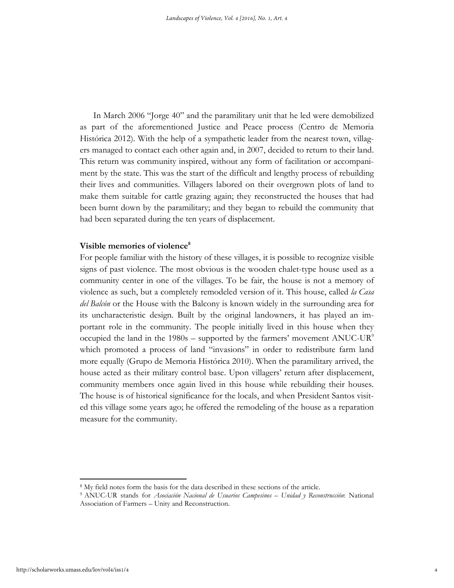In March 2006 "Jorge 40" and the paramilitary unit that he led were demobilized as part of the aforementioned Justice and Peace process (Centro de Memoria Histórica 2012). With the help of a sympathetic leader from the nearest town, villagers managed to contact each other again and, in 2007, decided to return to their land. This return was community inspired, without any form of facilitation or accompaniment by the state. This was the start of the difficult and lengthy process of rebuilding their lives and communities. Villagers labored on their overgrown plots of land to make them suitable for cattle grazing again; they reconstructed the houses that had been burnt down by the paramilitary; and they began to rebuild the community that had been separated during the ten years of displacement.

### **Visible memories of violence<sup>8</sup>**

For people familiar with the history of these villages, it is possible to recognize visible signs of past violence. The most obvious is the wooden chalet-type house used as a community center in one of the villages. To be fair, the house is not a memory of violence as such, but a completely remodeled version of it. This house, called *la Casa del Balcón* or the House with the Balcony is known widely in the surrounding area for its uncharacteristic design. Built by the original landowners, it has played an important role in the community. The people initially lived in this house when they occupied the land in the  $1980s$  – supported by the farmers' movement ANUC-UR<sup>9</sup> which promoted a process of land "invasions" in order to redistribute farm land more equally (Grupo de Memoria Histórica 2010). When the paramilitary arrived, the house acted as their military control base. Upon villagers' return after displacement, community members once again lived in this house while rebuilding their houses. The house is of historical significance for the locals, and when President Santos visited this village some years ago; he offered the remodeling of the house as a reparation measure for the community.

<sup>8</sup> My field notes form the basis for the data described in these sections of the article.

<sup>9</sup> ANUC-UR stands for *Asociación Nacional de Usuarios Campesinos – Unidad y Reconstrucción*: National Association of Farmers – Unity and Reconstruction.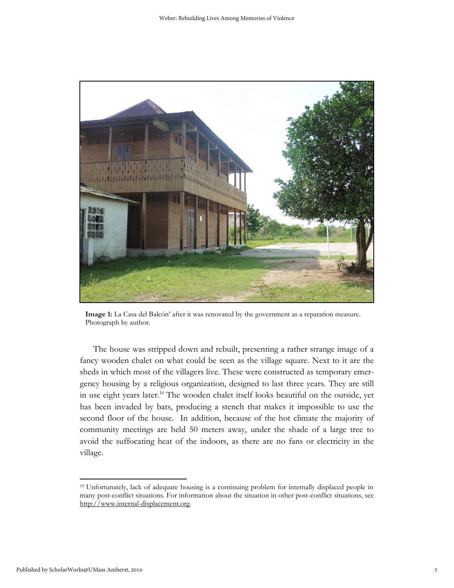

**Image 1:** La Casa del Balcón' after it was renovated by the government as a reparation measure. Photograph by author.

The house was stripped down and rebuilt, presenting a rather strange image of a fancy wooden chalet on what could be seen as the village square. Next to it are the sheds in which most of the villagers live. These were constructed as temporary emergency housing by a religious organization, designed to last three years. They are still in use eight years later. <sup>10</sup> The wooden chalet itself looks beautiful on the outside, yet has been invaded by bats, producing a stench that makes it impossible to use the second floor of the house. In addition, because of the hot climate the majority of community meetings are held 50 meters away, under the shade of a large tree to avoid the suffocating heat of the indoors, as there are no fans or electricity in the village.

<sup>10</sup> Unfortunately, lack of adequate housing is a continuing problem for internally displaced people in many post-conflict situations. For information about the situation in other post-conflict situations, see [http://www.internal-displacement.org.](http://www.internal-displacement.org/)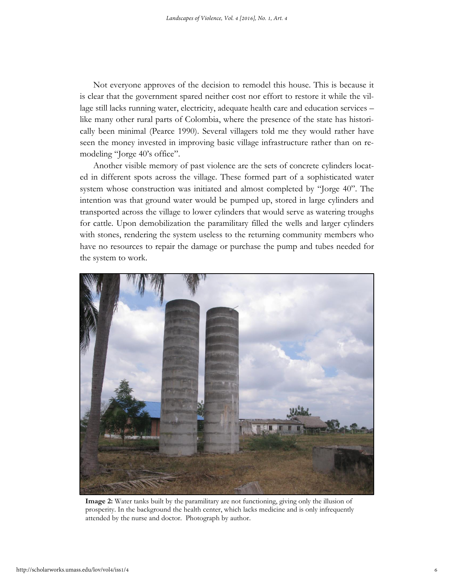Not everyone approves of the decision to remodel this house. This is because it is clear that the government spared neither cost nor effort to restore it while the village still lacks running water, electricity, adequate health care and education services – like many other rural parts of Colombia, where the presence of the state has historically been minimal (Pearce 1990). Several villagers told me they would rather have seen the money invested in improving basic village infrastructure rather than on remodeling "Jorge 40's office".

Another visible memory of past violence are the sets of concrete cylinders located in different spots across the village. These formed part of a sophisticated water system whose construction was initiated and almost completed by "Jorge 40". The intention was that ground water would be pumped up, stored in large cylinders and transported across the village to lower cylinders that would serve as watering troughs for cattle. Upon demobilization the paramilitary filled the wells and larger cylinders with stones, rendering the system useless to the returning community members who have no resources to repair the damage or purchase the pump and tubes needed for the system to work.



**Image 2:** Water tanks built by the paramilitary are not functioning, giving only the illusion of prosperity. In the background the health center, which lacks medicine and is only infrequently attended by the nurse and doctor. Photograph by author.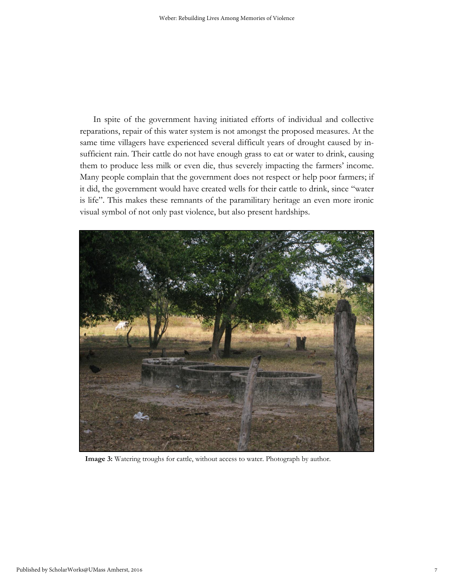In spite of the government having initiated efforts of individual and collective reparations, repair of this water system is not amongst the proposed measures. At the same time villagers have experienced several difficult years of drought caused by insufficient rain. Their cattle do not have enough grass to eat or water to drink, causing them to produce less milk or even die, thus severely impacting the farmers' income. Many people complain that the government does not respect or help poor farmers; if it did, the government would have created wells for their cattle to drink, since "water is life". This makes these remnants of the paramilitary heritage an even more ironic visual symbol of not only past violence, but also present hardships.



**Image 3:** Watering troughs for cattle, without access to water. Photograph by author.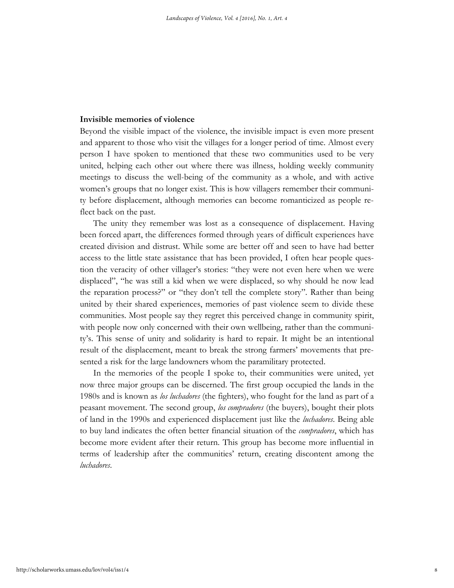### **Invisible memories of violence**

Beyond the visible impact of the violence, the invisible impact is even more present and apparent to those who visit the villages for a longer period of time. Almost every person I have spoken to mentioned that these two communities used to be very united, helping each other out where there was illness, holding weekly community meetings to discuss the well-being of the community as a whole, and with active women's groups that no longer exist. This is how villagers remember their community before displacement, although memories can become romanticized as people reflect back on the past.

The unity they remember was lost as a consequence of displacement. Having been forced apart, the differences formed through years of difficult experiences have created division and distrust. While some are better off and seen to have had better access to the little state assistance that has been provided, I often hear people question the veracity of other villager's stories: "they were not even here when we were displaced", "he was still a kid when we were displaced, so why should he now lead the reparation process?" or "they don't tell the complete story". Rather than being united by their shared experiences, memories of past violence seem to divide these communities. Most people say they regret this perceived change in community spirit, with people now only concerned with their own wellbeing, rather than the community's. This sense of unity and solidarity is hard to repair. It might be an intentional result of the displacement, meant to break the strong farmers' movements that presented a risk for the large landowners whom the paramilitary protected.

In the memories of the people I spoke to, their communities were united, yet now three major groups can be discerned. The first group occupied the lands in the 1980s and is known as *los luchadores* (the fighters), who fought for the land as part of a peasant movement. The second group, *los compradores* (the buyers), bought their plots of land in the 1990s and experienced displacement just like the *luchadores*. Being able to buy land indicates the often better financial situation of the *compradores*, which has become more evident after their return. This group has become more influential in terms of leadership after the communities' return, creating discontent among the *luchadores*.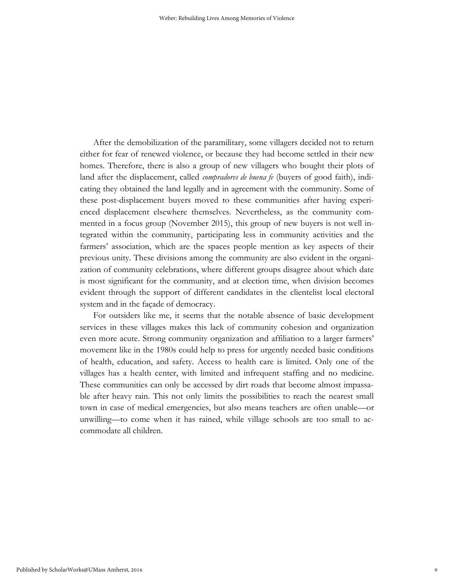After the demobilization of the paramilitary, some villagers decided not to return either for fear of renewed violence, or because they had become settled in their new homes. Therefore, there is also a group of new villagers who bought their plots of land after the displacement, called *compradores de buena fe* (buyers of good faith), indicating they obtained the land legally and in agreement with the community. Some of these post-displacement buyers moved to these communities after having experienced displacement elsewhere themselves. Nevertheless, as the community commented in a focus group (November 2015), this group of new buyers is not well integrated within the community, participating less in community activities and the farmers' association, which are the spaces people mention as key aspects of their previous unity. These divisions among the community are also evident in the organization of community celebrations, where different groups disagree about which date is most significant for the community, and at election time, when division becomes evident through the support of different candidates in the clientelist local electoral system and in the façade of democracy.

For outsiders like me, it seems that the notable absence of basic development services in these villages makes this lack of community cohesion and organization even more acute. Strong community organization and affiliation to a larger farmers' movement like in the 1980s could help to press for urgently needed basic conditions of health, education, and safety. Access to health care is limited. Only one of the villages has a health center, with limited and infrequent staffing and no medicine. These communities can only be accessed by dirt roads that become almost impassable after heavy rain. This not only limits the possibilities to reach the nearest small town in case of medical emergencies, but also means teachers are often unable—or unwilling—to come when it has rained, while village schools are too small to accommodate all children.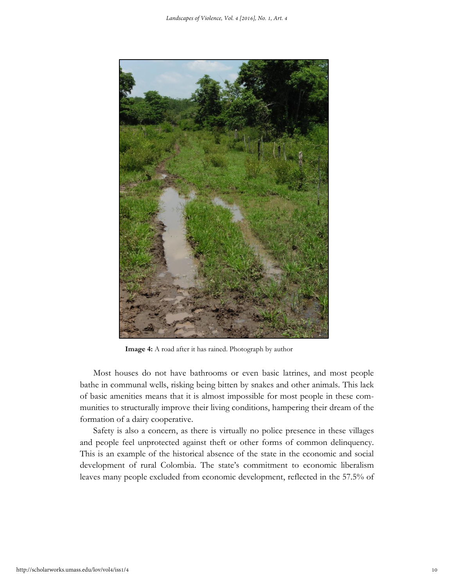

**Image 4:** A road after it has rained. Photograph by author

Most houses do not have bathrooms or even basic latrines, and most people bathe in communal wells, risking being bitten by snakes and other animals. This lack of basic amenities means that it is almost impossible for most people in these communities to structurally improve their living conditions, hampering their dream of the formation of a dairy cooperative.

Safety is also a concern, as there is virtually no police presence in these villages and people feel unprotected against theft or other forms of common delinquency. This is an example of the historical absence of the state in the economic and social development of rural Colombia. The state's commitment to economic liberalism leaves many people excluded from economic development, reflected in the 57.5% of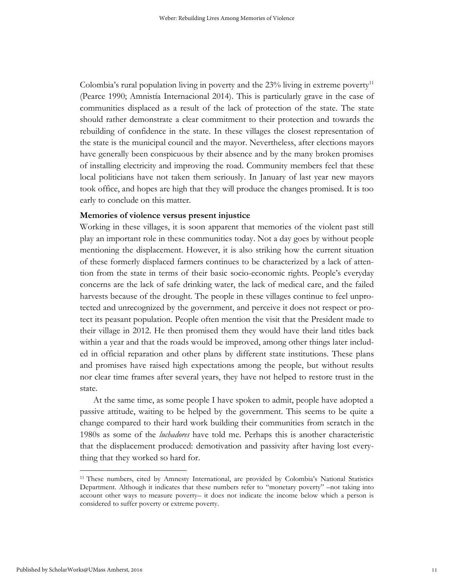Colombia's rural population living in poverty and the  $23\%$  living in extreme poverty<sup>11</sup> (Pearce 1990; Amnistía Internacional 2014). This is particularly grave in the case of communities displaced as a result of the lack of protection of the state. The state should rather demonstrate a clear commitment to their protection and towards the rebuilding of confidence in the state. In these villages the closest representation of the state is the municipal council and the mayor. Nevertheless, after elections mayors have generally been conspicuous by their absence and by the many broken promises of installing electricity and improving the road. Community members feel that these local politicians have not taken them seriously. In January of last year new mayors took office, and hopes are high that they will produce the changes promised. It is too early to conclude on this matter.

# **Memories of violence versus present injustice**

Working in these villages, it is soon apparent that memories of the violent past still play an important role in these communities today. Not a day goes by without people mentioning the displacement. However, it is also striking how the current situation of these formerly displaced farmers continues to be characterized by a lack of attention from the state in terms of their basic socio-economic rights. People's everyday concerns are the lack of safe drinking water, the lack of medical care, and the failed harvests because of the drought. The people in these villages continue to feel unprotected and unrecognized by the government, and perceive it does not respect or protect its peasant population. People often mention the visit that the President made to their village in 2012. He then promised them they would have their land titles back within a year and that the roads would be improved, among other things later included in official reparation and other plans by different state institutions. These plans and promises have raised high expectations among the people, but without results nor clear time frames after several years, they have not helped to restore trust in the state.

At the same time, as some people I have spoken to admit, people have adopted a passive attitude, waiting to be helped by the government. This seems to be quite a change compared to their hard work building their communities from scratch in the 1980s as some of the *luchadores* have told me. Perhaps this is another characteristic that the displacement produced: demotivation and passivity after having lost everything that they worked so hard for.

 $\overline{\phantom{a}}$ 

<sup>&</sup>lt;sup>11</sup> These numbers, cited by Amnesty International, are provided by Colombia's National Statistics Department. Although it indicates that these numbers refer to "monetary poverty" –not taking into account other ways to measure poverty– it does not indicate the income below which a person is considered to suffer poverty or extreme poverty.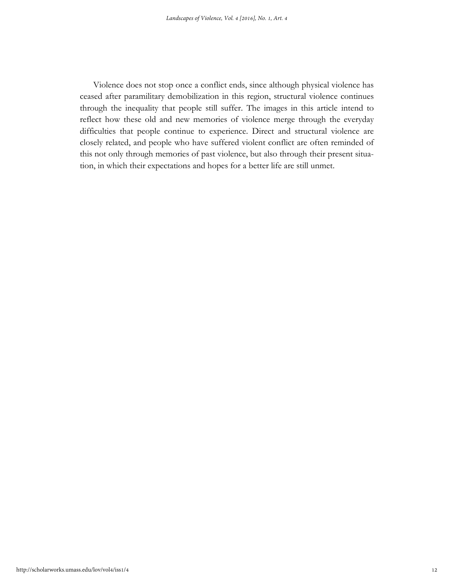Violence does not stop once a conflict ends, since although physical violence has ceased after paramilitary demobilization in this region, structural violence continues through the inequality that people still suffer. The images in this article intend to reflect how these old and new memories of violence merge through the everyday difficulties that people continue to experience. Direct and structural violence are closely related, and people who have suffered violent conflict are often reminded of this not only through memories of past violence, but also through their present situation, in which their expectations and hopes for a better life are still unmet.